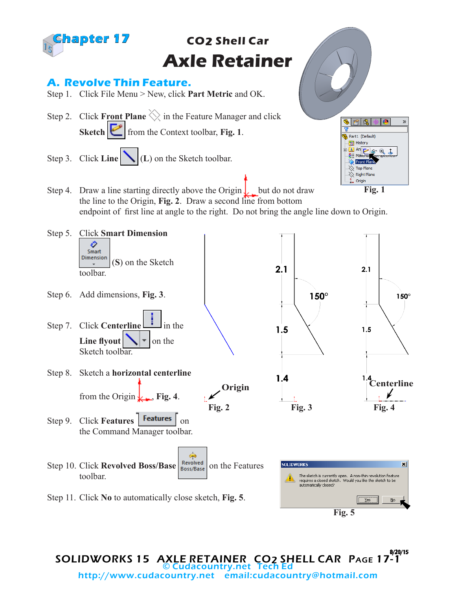

**Fig. 5**

SOLIDWORKS 15 AXLE RETAINER CO2 SHELL CAR PAGE 17-1 8/20/15 © Cudacountry.net Tech http://www.cudacountry.net email:cudacountry@hotmail.com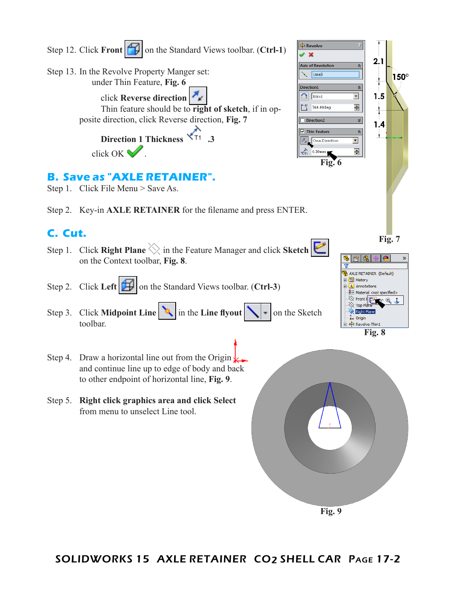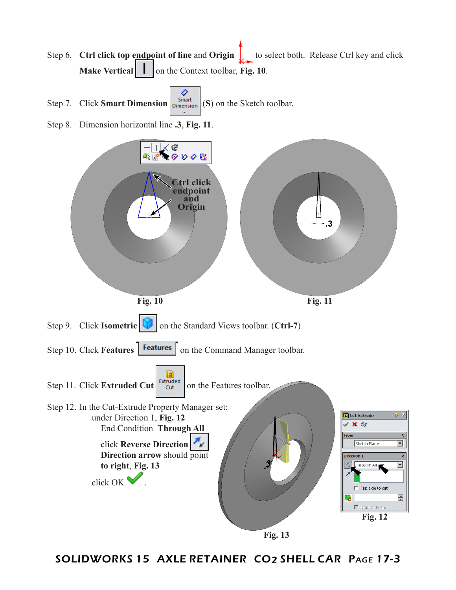Step 6. **Ctrl click top endpoint of line** and **Origin** to select both. Release Ctrl key and click **Make Vertical**  $\vert \cdot \vert$  on the Context toolbar, Fig. 10.



Step 8. Dimension horizontal line **.3**, **Fig. 11**.



**Fig. 13**

SOLIDWORKS 15 AXLE RETAINER CO2 SHELL CAR Page 17-3